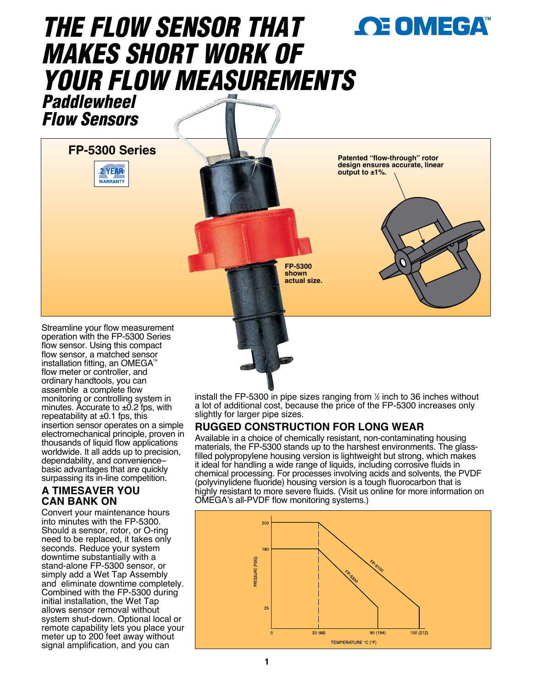# **OE OMEGA** *THE FL0W SENSOR THAT MAKES SHORT WORK OF YOUR FLOW MEASUREMENTS*



**FP-5300 Series**



**Patented "flow-through" rotor design ensures accurate, linear output to ±1%.**

**FP-5300 shown actual size.**

Streamline your flow measurement operation with the FP-5300 Series flow sensor. Using this compact flow sensor, a matched sensor installation fitting, an OMEGA<sup> $n$ </sup> flow meter or controller, and ordinary handtools, you can assemble a complete flow monitoring or controlling system in minutes. Accurate to  $\pm$ 0.2 fps, with repeatability at  $\pm 0.1$  fps, this insertion sensor operates on a simple electromechanical principle, proven in thousands of liquid flow applications worldwide. It all adds up to precision, dependability, and convenience– basic advantages that are quickly surpassing its in-line competition.

## **A TIMESAVER YOU CAN BANK ON**

Convert your maintenance hours into minutes with the FP-5300. Should a sensor, rotor, or O-ring need to be replaced, it takes only seconds. Reduce your system downtime substantially with a stand-alone FP-5300 sensor, or simply add a Wet Tap Assembly and eliminate downtime completely. Combined with the FP-5300 during initial installation, the Wet Tap allows sensor removal without system shut-down. Optional local or remote capability lets you place your meter up to 200 feet away without signal amplification, and you can

install the FP-5300 in pipe sizes ranging from <sup>1</sup> ⁄2 inch to 36 inches without a lot of additional cost, because the price of the FP-5300 increases only slightly for larger pipe sizes.

# **RUGGED CONSTRUCTION FOR LONG WEAR**

it ideal for handling a wide range of liquids, including corrosive fluids in Available in a choice of chemically resistant, non-contaminating housing materials, the FP-5300 stands up to the harshest environments. The glassfilled polypropylene housing version is lightweight but strong, which makes chemical processing. For processes involving acids and solvents, the PVDF (polyvinylidene fluoride) housing version is a tough fluorocarbon that is highly resistant to more severe fluids. (Visit us online for more information on OMEGA's all-PVDF flow monitoring systems.)

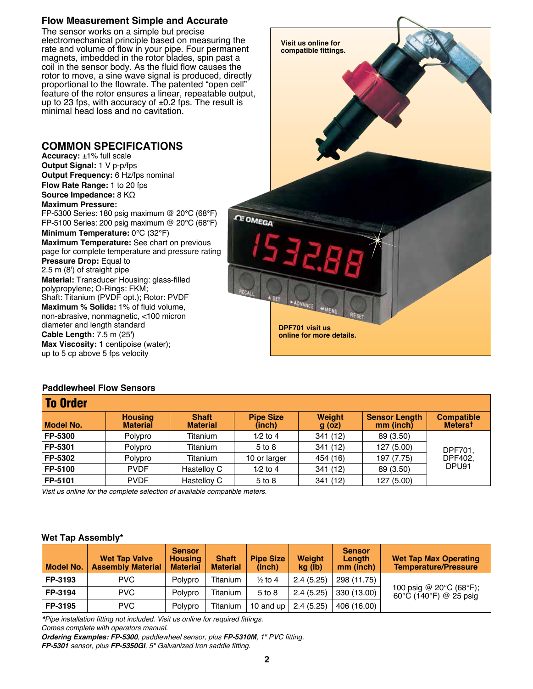## **Flow Measurement Simple and Accurate**

The sensor works on a simple but precise electromechanical principle based on measuring the rate and volume of flow in your pipe. Four permanent magnets, imbedded in the rotor blades, spin past a coil in the sensor body. As the fluid flow causes the rotor to move, a sine wave signal is produced, directly proportional to the flowrate. The patented "open cell" feature of the rotor ensures a linear, repeatable output, up to 23 fps, with accuracy of  $\pm 0.2$  fps. The result is minimal head loss and no cavitation.

### **COMMON SPECIFICATIONS**

**Accuracy:** ±1% full scale **Output Signal:** 1 V p-p/fps **Output Frequency:** 6 Hz/fps nominal **Flow Rate Range:** 1 to 20 fps **Source Impedance:** 8 KΩ **Maximum Pressure:**  FP-5300 Series: 180 psig maximum @ 20°C (68°F) FP-5100 Series: 200 psig maximum @ 20°C (68°F) **Minimum Temperature:** 0°C (32°F) **Maximum Temperature:** See chart on previous page for complete temperature and pressure rating **Pressure Drop:** Equal to 2.5 m (8') of straight pipe **Material:** Transducer Housing: glass-filled polypropylene; O-Rings: FKM; Shaft: Titanium (PVDF opt.); Rotor: PVDF **Maximum % Solids:** 1% of fluid volume, non-abrasive, nonmagnetic, <100 micron diameter and length standard **Cable Length:** 7.5 m (25') **Max Viscosity:** 1 centipoise (water); up to 5 cp above 5 fps velocity



### **Paddlewheel Flow Sensors**

| <b>To Order</b>  |                                   |                                 |                            |                    |                                   |                                          |  |  |  |  |
|------------------|-----------------------------------|---------------------------------|----------------------------|--------------------|-----------------------------------|------------------------------------------|--|--|--|--|
| <b>Model No.</b> | <b>Housing</b><br><b>Material</b> | <b>Shaft</b><br><b>Material</b> | <b>Pipe Size</b><br>(inch) | Weight<br>$g$ (oz) | <b>Sensor Length</b><br>mm (inch) | <b>Compatible</b><br>Meters <sup>t</sup> |  |  |  |  |
| FP-5300          | Polypro                           | Titanium                        | $1/2$ to 4                 | 341 (12)           | 89 (3.50)                         |                                          |  |  |  |  |
| FP-5301          | Polypro                           | Titanium                        | 5 to 8                     | 341 (12)           | 127 (5.00)                        | DPF701.                                  |  |  |  |  |
| FP-5302          | Polypro                           | Titanium                        | 10 or larger               | 454 (16)           | 197 (7.75)                        | DPF402.<br>DPU91<br>89 (3.50)            |  |  |  |  |
| FP-5100          | <b>PVDF</b>                       | Hastelloy C                     | $1/2$ to 4                 | 341 (12)           |                                   |                                          |  |  |  |  |
| FP-5101          | <b>PVDF</b>                       | Hastelloy C                     | 5 to 8                     | 341 (12)           | 127 (5.00)                        |                                          |  |  |  |  |

Visit us online for the complete selection of available compatible meters.

#### **Wet Tap Assembly\***

| <b>Model No.</b> | <b>Wet Tap Valve</b><br><b>Assembly Material</b> | <b>Sensor</b><br><b>Housing</b><br><b>Material</b> | <b>Shaft</b><br><b>Material</b> | <b>Pipe Size</b><br>(inch) | <b>Weight</b><br>kg (lb) | <b>Sensor</b><br>Length<br>mm (inch) | <b>Wet Tap Max Operating</b><br><b>Temperature/Pressure</b>            |
|------------------|--------------------------------------------------|----------------------------------------------------|---------------------------------|----------------------------|--------------------------|--------------------------------------|------------------------------------------------------------------------|
| FP-3193          | <b>PVC</b>                                       | Polvpro                                            | Titanium                        | $\frac{1}{2}$ to 4         | 2.4(5.25)                | 298 (11.75)                          |                                                                        |
| FP-3194          | PVC.                                             | Polvpro                                            | Titanium                        | 5 to 8                     | 2.4(5.25)                | 330 (13.00)                          | 100 psig @ 20°C (68°F);<br>$60^{\circ}$ C (140 $^{\circ}$ F) @ 25 psig |
| FP-3195          | <b>PVC</b>                                       | Polypro                                            | Titanium                        | 10 and up                  | 2.4(5.25)                | 406 (16.00)                          |                                                                        |

*\**Pipe installation fitting not included. Visit us online for required fittings.

Comes complete with operators manual.

*Ordering Examples: FP-5300*, paddlewheel sensor, plus *FP-5310M,* 1" PVC fitting.

*FP-5301* sensor, plus *FP-5350GI*, 5" Galvanized Iron saddle fitting.